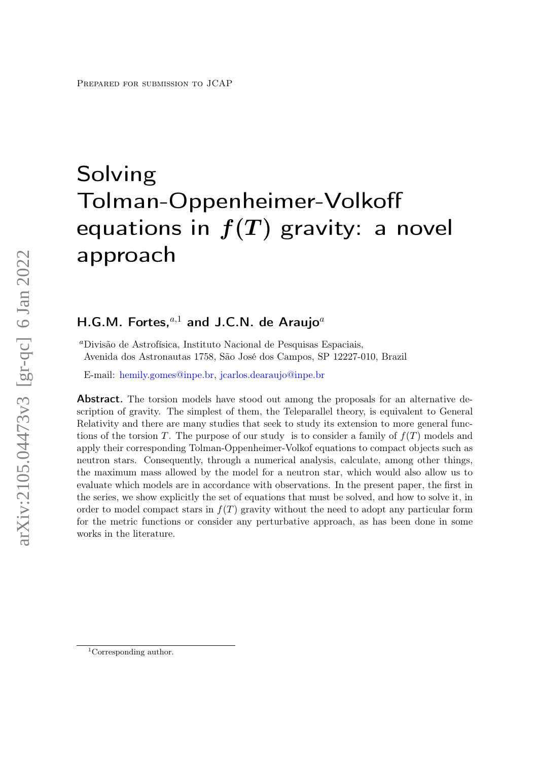# Solving Tolman-Oppenheimer-Volkoff equations in  $f(T)$  gravity: a novel approach

## H.G.M. Fortes, $a,1}$  and J.C.N. de Araujo $a$

<sup>a</sup>Divisão de Astrofísica, Instituto Nacional de Pesquisas Espaciais, Avenida dos Astronautas 1758, São José dos Campos, SP 12227-010, Brazil

E-mail: [hemily.gomes@inpe.br,](mailto:hemily.gomes@inpe.br) [jcarlos.dearaujo@inpe.br](mailto:jcarlos.dearaujo@inpe.br)

Abstract. The torsion models have stood out among the proposals for an alternative description of gravity. The simplest of them, the Teleparallel theory, is equivalent to General Relativity and there are many studies that seek to study its extension to more general functions of the torsion T. The purpose of our study is to consider a family of  $f(T)$  models and apply their corresponding Tolman-Oppenheimer-Volkof equations to compact objects such as neutron stars. Consequently, through a numerical analysis, calculate, among other things, the maximum mass allowed by the model for a neutron star, which would also allow us to evaluate which models are in accordance with observations. In the present paper, the first in the series, we show explicitly the set of equations that must be solved, and how to solve it, in order to model compact stars in  $f(T)$  gravity without the need to adopt any particular form for the metric functions or consider any perturbative approach, as has been done in some works in the literature.

<sup>&</sup>lt;sup>1</sup>Corresponding author.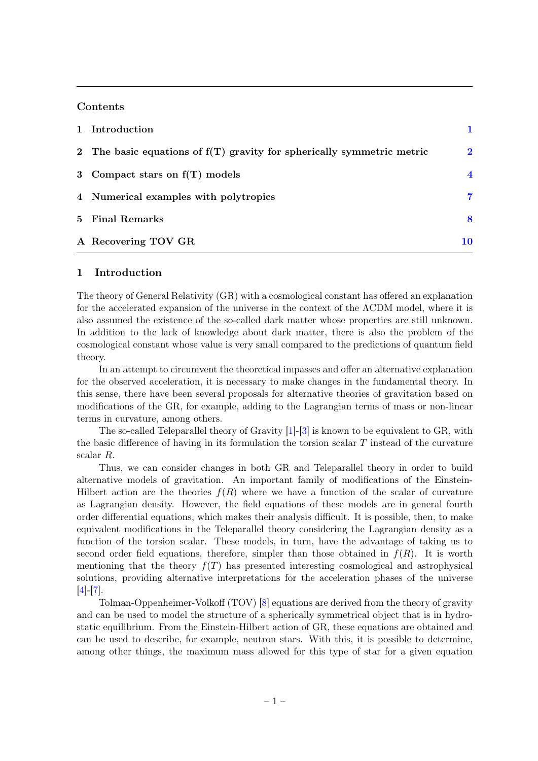#### **Contents**

| 1 Introduction                                                           |                        |
|--------------------------------------------------------------------------|------------------------|
| 2 The basic equations of $f(T)$ gravity for spherically symmetric metric | $\overline{2}$         |
| 3 Compact stars on $f(T)$ models                                         | $\boldsymbol{\Lambda}$ |
| 4 Numerical examples with polytropics                                    | 7                      |
| 5 Final Remarks                                                          | 8                      |
| A Recovering TOV GR                                                      | 10                     |

#### <span id="page-1-0"></span>1 Introduction

The theory of General Relativity (GR) with a cosmological constant has offered an explanation for the accelerated expansion of the universe in the context of the ΛCDM model, where it is also assumed the existence of the so-called dark matter whose properties are still unknown. In addition to the lack of knowledge about dark matter, there is also the problem of the cosmological constant whose value is very small compared to the predictions of quantum field theory.

In an attempt to circumvent the theoretical impasses and offer an alternative explanation for the observed acceleration, it is necessary to make changes in the fundamental theory. In this sense, there have been several proposals for alternative theories of gravitation based on modifications of the GR, for example, adding to the Lagrangian terms of mass or non-linear terms in curvature, among others.

The so-called Teleparallel theory of Gravity [\[1\]](#page-11-0)-[\[3\]](#page-11-1) is known to be equivalent to GR, with the basic difference of having in its formulation the torsion scalar  $T$  instead of the curvature scalar R.

Thus, we can consider changes in both GR and Teleparallel theory in order to build alternative models of gravitation. An important family of modifications of the Einstein-Hilbert action are the theories  $f(R)$  where we have a function of the scalar of curvature as Lagrangian density. However, the field equations of these models are in general fourth order differential equations, which makes their analysis difficult. It is possible, then, to make equivalent modifications in the Teleparallel theory considering the Lagrangian density as a function of the torsion scalar. These models, in turn, have the advantage of taking us to second order field equations, therefore, simpler than those obtained in  $f(R)$ . It is worth mentioning that the theory  $f(T)$  has presented interesting cosmological and astrophysical solutions, providing alternative interpretations for the acceleration phases of the universe [\[4\]](#page-11-2)-[\[7\]](#page-11-3).

Tolman-Oppenheimer-Volkoff (TOV) [\[8\]](#page-12-0) equations are derived from the theory of gravity and can be used to model the structure of a spherically symmetrical object that is in hydrostatic equilibrium. From the Einstein-Hilbert action of GR, these equations are obtained and can be used to describe, for example, neutron stars. With this, it is possible to determine, among other things, the maximum mass allowed for this type of star for a given equation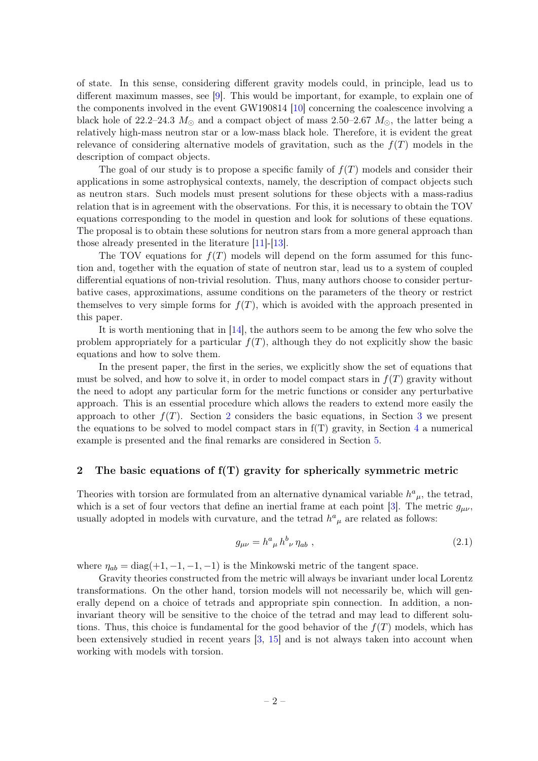of state. In this sense, considering different gravity models could, in principle, lead us to different maximum masses, see [\[9\]](#page-12-1). This would be important, for example, to explain one of the components involved in the event GW190814 [\[10\]](#page-12-2) concerning the coalescence involving a black hole of 22.2–24.3  $M_{\odot}$  and a compact object of mass 2.50–2.67  $M_{\odot}$ , the latter being a relatively high-mass neutron star or a low-mass black hole. Therefore, it is evident the great relevance of considering alternative models of gravitation, such as the  $f(T)$  models in the description of compact objects.

The goal of our study is to propose a specific family of  $f(T)$  models and consider their applications in some astrophysical contexts, namely, the description of compact objects such as neutron stars. Such models must present solutions for these objects with a mass-radius relation that is in agreement with the observations. For this, it is necessary to obtain the TOV equations corresponding to the model in question and look for solutions of these equations. The proposal is to obtain these solutions for neutron stars from a more general approach than those already presented in the literature [\[11\]](#page-12-3)-[\[13\]](#page-12-4).

The TOV equations for  $f(T)$  models will depend on the form assumed for this function and, together with the equation of state of neutron star, lead us to a system of coupled differential equations of non-trivial resolution. Thus, many authors choose to consider perturbative cases, approximations, assume conditions on the parameters of the theory or restrict themselves to very simple forms for  $f(T)$ , which is avoided with the approach presented in this paper.

It is worth mentioning that in [\[14\]](#page-12-5), the authors seem to be among the few who solve the problem appropriately for a particular  $f(T)$ , although they do not explicitly show the basic equations and how to solve them.

In the present paper, the first in the series, we explicitly show the set of equations that must be solved, and how to solve it, in order to model compact stars in  $f(T)$  gravity without the need to adopt any particular form for the metric functions or consider any perturbative approach. This is an essential procedure which allows the readers to extend more easily the approach to other  $f(T)$ . Section [2](#page-2-0) considers the basic equations, in Section [3](#page-4-0) we present the equations to be solved to model compact stars in  $f(T)$  gravity, in Section [4](#page-7-0) a numerical example is presented and the final remarks are considered in Section [5.](#page-8-0)

### <span id="page-2-0"></span>2 The basic equations of  $f(T)$  gravity for spherically symmetric metric

Theories with torsion are formulated from an alternative dynamical variable  $h^a{}_\mu$ , the tetrad, which is a set of four vectors that define an inertial frame at each point [\[3\]](#page-11-1). The metric  $g_{\mu\nu}$ , usually adopted in models with curvature, and the tetrad  $h^a{}_\mu$  are related as follows:

$$
g_{\mu\nu} = h^a{}_{\mu} h^b{}_{\nu} \eta_{ab} , \qquad (2.1)
$$

where  $\eta_{ab} = \text{diag}(+1, -1, -1, -1)$  is the Minkowski metric of the tangent space.

Gravity theories constructed from the metric will always be invariant under local Lorentz transformations. On the other hand, torsion models will not necessarily be, which will generally depend on a choice of tetrads and appropriate spin connection. In addition, a noninvariant theory will be sensitive to the choice of the tetrad and may lead to different solutions. Thus, this choice is fundamental for the good behavior of the  $f(T)$  models, which has been extensively studied in recent years [\[3,](#page-11-1) [15\]](#page-12-6) and is not always taken into account when working with models with torsion.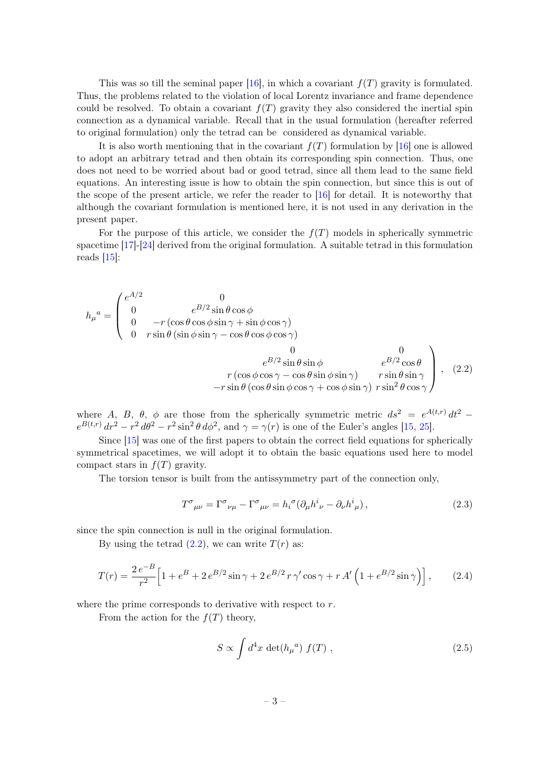This was so till the seminal paper [\[16\]](#page-12-7), in which a covariant  $f(T)$  gravity is formulated. Thus, the problems related to the violation of local Lorentz invariance and frame dependence could be resolved. To obtain a covariant  $f(T)$  gravity they also considered the inertial spin connection as a dynamical variable. Recall that in the usual formulation (hereafter referred to original formulation) only the tetrad can be considered as dynamical variable.

It is also worth mentioning that in the covariant  $f(T)$  formulation by [\[16\]](#page-12-7) one is allowed to adopt an arbitrary tetrad and then obtain its corresponding spin connection. Thus, one does not need to be worried about bad or good tetrad, since all them lead to the same field equations. An interesting issue is how to obtain the spin connection, but since this is out of the scope of the present article, we refer the reader to [\[16\]](#page-12-7) for detail. It is noteworthy that although the covariant formulation is mentioned here, it is not used in any derivation in the present paper.

For the purpose of this article, we consider the  $f(T)$  models in spherically symmetric spacetime  $\left[17\right]$ - $\left[24\right]$  derived from the original formulation. A suitable tetrad in this formulation reads [\[15\]](#page-12-6):

$$
h_{\mu}{}^{a} = \begin{pmatrix} e^{A/2} & 0 & 0 \\ 0 & e^{B/2} \sin \theta \cos \phi & 0 \\ 0 & -r \left( \cos \theta \cos \phi \sin \gamma + \sin \phi \cos \gamma \right) & 0 \\ 0 & r \sin \theta \left( \sin \phi \sin \gamma - \cos \theta \cos \phi \cos \gamma \right) & 0 \\ 0 & e^{B/2} \sin \theta \sin \phi & e^{B/2} \cos \theta \\ r \left( \cos \phi \cos \gamma - \cos \theta \sin \phi \sin \gamma \right) & r \sin \theta \sin \gamma \\ -r \sin \theta \left( \cos \theta \sin \phi \cos \gamma + \cos \phi \sin \gamma \right) & r \sin^{2} \theta \cos \gamma \end{pmatrix}, \quad (2.2)
$$

where A, B,  $\theta$ ,  $\phi$  are those from the spherically symmetric metric  $ds^2 = e^{A(t,r)} dt^2$  $e^{B(t,r)} dr^2 - r^2 d\theta^2 - r^2 \sin^2 \theta d\phi^2$ , and  $\gamma = \gamma(r)$  is one of the Euler's angles [\[15,](#page-12-6) [25\]](#page-12-10).

Since [\[15\]](#page-12-6) was one of the first papers to obtain the correct field equations for spherically symmetrical spacetimes, we will adopt it to obtain the basic equations used here to model compact stars in  $f(T)$  gravity.

The torsion tensor is built from the antissymmetry part of the connection only,

<span id="page-3-0"></span>
$$
T^{\sigma}{}_{\mu\nu} = \Gamma^{\sigma}{}_{\nu\mu} - \Gamma^{\sigma}{}_{\mu\nu} = h_i^{\sigma} (\partial_{\mu} h^i{}_{\nu} - \partial_{\nu} h^i{}_{\mu}), \qquad (2.3)
$$

since the spin connection is null in the original formulation.

By using the tetrad  $(2.2)$ , we can write  $T(r)$  as:

$$
T(r) = \frac{2e^{-B}}{r^2} \left[ 1 + e^{B} + 2e^{B/2} \sin \gamma + 2e^{B/2} r \gamma' \cos \gamma + r A' \left( 1 + e^{B/2} \sin \gamma \right) \right],
$$
 (2.4)

where the prime corresponds to derivative with respect to  $r$ .

From the action for the  $f(T)$  theory,

$$
S \propto \int d^4x \, \det(h_{\mu}{}^a) f(T) , \qquad (2.5)
$$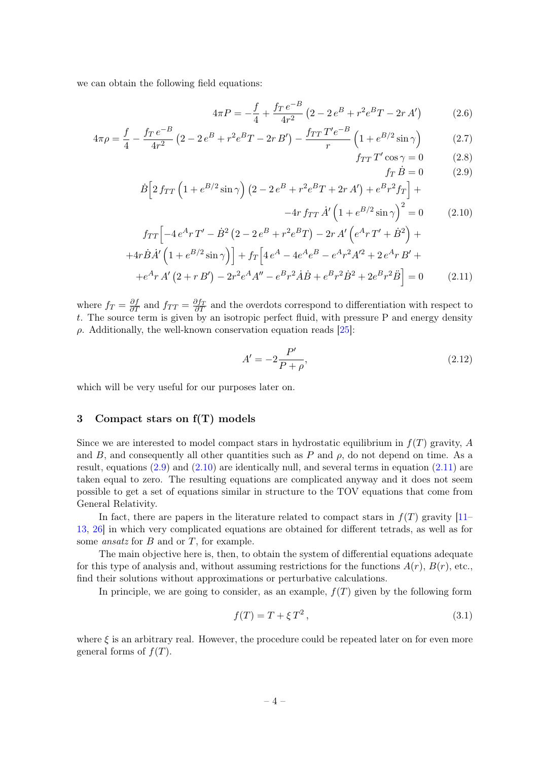we can obtain the following field equations:

<span id="page-4-1"></span>
$$
4\pi P = -\frac{f}{4} + \frac{f_T e^{-B}}{4r^2} \left(2 - 2e^B + r^2 e^B T - 2r A'\right)
$$
 (2.6)

$$
4\pi \rho = \frac{f}{4} - \frac{f_T e^{-B}}{4r^2} \left( 2 - 2e^B + r^2 e^B T - 2r B' \right) - \frac{f_{TT} T' e^{-B}}{r} \left( 1 + e^{B/2} \sin \gamma \right) \tag{2.7}
$$

$$
f_{TT}T'\cos\gamma = 0 \qquad (2.8)
$$
  
\n
$$
\dot{B}\left[2f_{TT}\left(1 + e^{B/2}\sin\gamma\right)\left(2 - 2e^{B} + r^{2}e^{B}T + 2r A'\right) + e^{B}r^{2}f_{T}\right] +
$$
\n(2.9)

$$
-4r f_{TT} \dot{A}' \left(1 + e^{B/2} \sin \gamma\right)^2 = 0 \qquad (2.10)
$$
  

$$
f_{TT} \left[-4 e^{A} r T' - \dot{B}^2 (2 - 2 e^{B} + r^2 e^{B} T) - 2r A' \left(e^{A} r T' + \dot{B}^2\right) + \right.
$$

$$
+4r\dot{B}\dot{A}'\left(1+e^{B/2}\sin\gamma\right)\right] + f_T\left[4e^A - 4e^Ae^B - e^Ar^2A'^2 + 2e^ArB' ++e^ArA'\left(2+rB'\right) - 2r^2e^AA'' - e^Br^2\dot{A}\dot{B} + e^Br^2\dot{B}^2 + 2e^Br^2\ddot{B}\right] = 0
$$
 (2.11)

where  $f_T = \frac{\partial f_T}{\partial T}$  and  $f_{TT} = \frac{\partial f_T}{\partial T}$  and the overdots correspond to differentiation with respect to t. The source term is given by an isotropic perfect fluid, with pressure P and energy density ρ. Additionally, the well-known conservation equation reads [\[25\]](#page-12-10):

<span id="page-4-2"></span>
$$
A' = -2\frac{P'}{P+\rho},
$$
\n(2.12)

which will be very useful for our purposes later on.

#### <span id="page-4-0"></span>3 Compact stars on f(T) models

Since we are interested to model compact stars in hydrostatic equilibrium in  $f(T)$  gravity, A and B, and consequently all other quantities such as P and  $\rho$ , do not depend on time. As a result, equations [\(2.9\)](#page-4-1) and [\(2.10\)](#page-4-1) are identically null, and several terms in equation [\(2.11\)](#page-4-1) are taken equal to zero. The resulting equations are complicated anyway and it does not seem possible to get a set of equations similar in structure to the TOV equations that come from General Relativity.

In fact, there are papers in the literature related to compact stars in  $f(T)$  gravity  $[11-$ [13,](#page-12-4) [26\]](#page-12-11) in which very complicated equations are obtained for different tetrads, as well as for some *ansatz* for  $B$  and or  $T$ , for example.

The main objective here is, then, to obtain the system of differential equations adequate for this type of analysis and, without assuming restrictions for the functions  $A(r)$ ,  $B(r)$ , etc., find their solutions without approximations or perturbative calculations.

In principle, we are going to consider, as an example,  $f(T)$  given by the following form

$$
f(T) = T + \xi T^2, \qquad (3.1)
$$

where  $\xi$  is an arbitrary real. However, the procedure could be repeated later on for even more general forms of  $f(T)$ .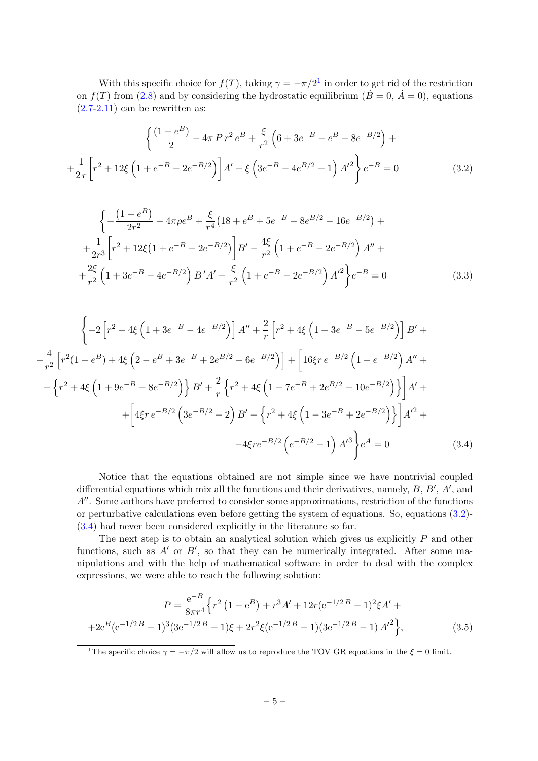With this specific choice for  $f(T)$ , taking  $\gamma = -\pi/2^1$  $\gamma = -\pi/2^1$  in order to get rid of the restriction on  $f(T)$  from [\(2.8\)](#page-4-1) and by considering the hydrostatic equilibrium ( $\dot{B} = 0$ ,  $\dot{A} = 0$ ), equations  $(2.7-2.11)$  can be rewritten as:

<span id="page-5-1"></span>
$$
\left\{ \frac{(1-e^{B})}{2} - 4\pi P r^{2} e^{B} + \frac{\xi}{r^{2}} \left( 6 + 3e^{-B} - e^{B} - 8e^{-B/2} \right) + \right.
$$

$$
+ \frac{1}{2r} \left[ r^{2} + 12\xi \left( 1 + e^{-B} - 2e^{-B/2} \right) \right] A' + \xi \left( 3e^{-B} - 4e^{B/2} + 1 \right) A'^{2} \right\} e^{-B} = 0 \tag{3.2}
$$

$$
\left\{-\frac{\left(1-e^{B}\right)}{2r^{2}}-4\pi\rho e^{B}+\frac{\xi}{r^{4}}\left(18+e^{B}+5e^{-B}-8e^{B/2}-16e^{-B/2}\right)+\right.\newline+\frac{1}{2r^{3}}\left[r^{2}+12\xi\left(1+e^{-B}-2e^{-B/2}\right)\right]B'-\frac{4\xi}{r^{2}}\left(1+e^{-B}-2e^{-B/2}\right)A''+\right.\newline+\frac{2\xi}{r^{2}}\left(1+3e^{-B}-4e^{-B/2}\right)B'A'-\frac{\xi}{r^{2}}\left(1+e^{-B}-2e^{-B/2}\right)A'^{2}\right\}e^{-B}=0
$$
\n(3.3)

<span id="page-5-2"></span>
$$
\left\{-2\left[r^2+4\xi\left(1+3e^{-B}-4e^{-B/2}\right)\right]A''+\frac{2}{r}\left[r^2+4\xi\left(1+3e^{-B}-5e^{-B/2}\right)\right]B'+\right.\newline+\left.\frac{4}{r^2}\left[r^2(1-e^B)+4\xi\left(2-e^B+3e^{-B}+2e^{B/2}-6e^{-B/2}\right)\right]+\left[16\xi r\,e^{-B/2}\left(1-e^{-B/2}\right)A''+\right.\newline+\left\{r^2+4\xi\left(1+9e^{-B}-8e^{-B/2}\right)\right\}B'+\frac{2}{r}\left\{r^2+4\xi\left(1+7e^{-B}+2e^{B/2}-10e^{-B/2}\right)\right\}\right]A'+\left.\left.\left.+ \left[4\xi r\,e^{-B/2}\left(3e^{-B/2}-2\right)B'-\left\{r^2+4\xi\left(1-3e^{-B}+2e^{-B/2}\right)\right\}\right]A'^2+\right.\right.\newline\left.\left.-4\xi r e^{-B/2}\left(e^{-B/2}-1\right)A'^3\right\}e^A=0\right\}
$$
\n(3.4)

Notice that the equations obtained are not simple since we have nontrivial coupled differential equations which mix all the functions and their derivatives, namely,  $B, B', A'$ , and  $A''$ . Some authors have preferred to consider some approximations, restriction of the functions or perturbative calculations even before getting the system of equations. So, equations [\(3.2\)](#page-5-1)- [\(3.4\)](#page-5-2) had never been considered explicitly in the literature so far.

The next step is to obtain an analytical solution which gives us explicitly  $P$  and other functions, such as  $A'$  or  $B'$ , so that they can be numerically integrated. After some manipulations and with the help of mathematical software in order to deal with the complex expressions, we were able to reach the following solution:

<span id="page-5-3"></span>
$$
P = \frac{e^{-B}}{8\pi r^4} \left\{ r^2 \left( 1 - e^B \right) + r^3 A' + 12r (e^{-1/2B} - 1)^2 \xi A' + 42e^B (e^{-1/2B} - 1)^3 (3e^{-1/2B} + 1)\xi + 2r^2 \xi (e^{-1/2B} - 1)(3e^{-1/2B} - 1) A'^2 \right\},
$$
(3.5)

<span id="page-5-0"></span><sup>1</sup>The specific choice  $\gamma = -\pi/2$  will allow us to reproduce the TOV GR equations in the  $\xi = 0$  limit.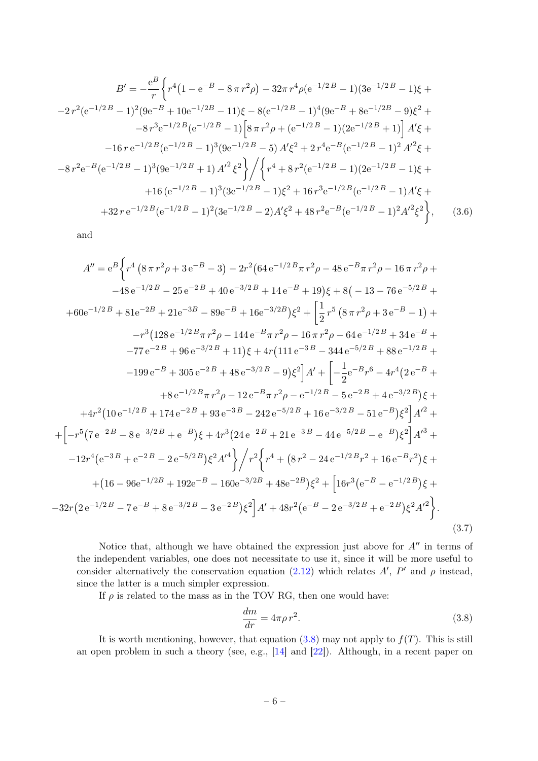<span id="page-6-1"></span>
$$
B' = -\frac{e^B}{r} \left\{ r^4 \left( 1 - e^{-B} - 8\pi r^2 \rho \right) - 32\pi r^4 \rho (e^{-1/2B} - 1)(3e^{-1/2B} - 1)\xi + \right.
$$
  
\n
$$
-2 r^2 (e^{-1/2B} - 1)^2 (9e^{-B} + 10e^{-1/2B} - 11)\xi - 8(e^{-1/2B} - 1)^4 (9e^{-B} + 8e^{-1/2B} - 9)\xi^2 + \right.
$$
  
\n
$$
-8 r^3 e^{-1/2B} (e^{-1/2B} - 1) \left[ 8\pi r^2 \rho + (e^{-1/2B} - 1)(2e^{-1/2B} + 1) \right] A' \xi + \right.
$$
  
\n
$$
-16 r e^{-1/2B} (e^{-1/2B} - 1)^3 (9e^{-1/2B} - 5) A' \xi^2 + 2 r^4 e^{-B} (e^{-1/2B} - 1)^2 A'^2 \xi + \right.
$$
  
\n
$$
-8 r^2 e^{-B} (e^{-1/2B} - 1)^3 (9e^{-1/2B} + 1) A'^2 \xi^2 \left\{ \int \left\{ r^4 + 8 r^2 (e^{-1/2B} - 1)(2e^{-1/2B} - 1)\xi + \right.\right.
$$
  
\n
$$
+16 (e^{-1/2B} - 1)^3 (3e^{-1/2B} - 1)\xi^2 + 16 r^3 e^{-1/2B} (e^{-1/2B} - 1) A' \xi + \right.
$$
  
\n
$$
+32 r e^{-1/2B} (e^{-1/2B} - 1)^2 (3e^{-1/2B} - 2) A' \xi^2 + 48 r^2 e^{-B} (e^{-1/2B} - 1)^2 A'^2 \xi^2 \left\}, \qquad (3.6)
$$

<span id="page-6-2"></span>and

−32r

$$
A'' = e^{B} \Biggl\{ r^{4} \left( 8 \pi r^{2} \rho + 3 e^{-B} - 3 \right) - 2r^{2} \left( 64 e^{-1/2B} \pi r^{2} \rho - 48 e^{-B} \pi r^{2} \rho - 16 \pi r^{2} \rho + \right. \\ -48 e^{-1/2B} - 25 e^{-2B} + 40 e^{-3/2B} + 14 e^{-B} + 19 \right) \xi + 8 \left( -13 - 76 e^{-5/2B} + \right. \\ + 60 e^{-1/2B} + 81 e^{-2B} + 21 e^{-3B} - 89 e^{-B} + 16 e^{-3/2B} \right) \xi^{2} + \Biggl[ \frac{1}{2} r^{5} \left( 8 \pi r^{2} \rho + 3 e^{-B} - 1 \right) + \right. \\ - r^{3} \left( 128 e^{-1/2B} \pi r^{2} \rho - 144 e^{-B} \pi r^{2} \rho - 16 \pi r^{2} \rho - 64 e^{-1/2B} + 34 e^{-B} + \right. \\ - 77 e^{-2B} + 96 e^{-3/2B} + 11 \right) \xi + 4r \left( 111 e^{-3B} - 344 e^{-5/2B} + 88 e^{-1/2B} + \right. \\ - 199 e^{-B} + 305 e^{-2B} + 48 e^{-3/2B} - 9 \right) \xi^{2} \Biggr] A' + \Biggl[ -\frac{1}{2} e^{-B} r^{6} - 4r^{4} \left( 2 e^{-B} + \right. \\ + 8 e^{-1/2B} \pi r^{2} \rho - 12 e^{-B} \pi r^{2} \rho - e^{-1/2B} - 5 e^{-2B} + 4 e^{-3/2B} \right) \xi + \right. \\ + 4r^{2} \left( 10 e^{-1/2B} + 174 e^{-2B} + 93 e^{-3B} - 242 e^{-5/2B} + 16 e^{-3/2B} - 51 e^{-B} \right) \xi^{2} \Biggr] A'^{2} + \Biggl. \\ + \Biggl[ -r^{5} \left( 7 e^{-2B} - 8 e^{-3/2B} + e^{-B} \right) \xi + 4r^{3} \left( 24 e^{-2B} + 21 e^{-3B} - 44 e^{-5/2
$$

Notice that, although we have obtained the expression just above for  $A''$  in terms of the independent variables, one does not necessitate to use it, since it will be more useful to consider alternatively the conservation equation [\(2.12\)](#page-4-2) which relates  $A'$ ,  $P'$  and  $\rho$  instead, since the latter is a much simpler expression.

If  $\rho$  is related to the mass as in the TOV RG, then one would have:

<span id="page-6-0"></span>
$$
\frac{dm}{dr} = 4\pi\rho r^2. \tag{3.8}
$$

It is worth mentioning, however, that equation  $(3.8)$  may not apply to  $f(T)$ . This is still an open problem in such a theory (see, e.g., [\[14\]](#page-12-5) and [\[22\]](#page-12-12)). Although, in a recent paper on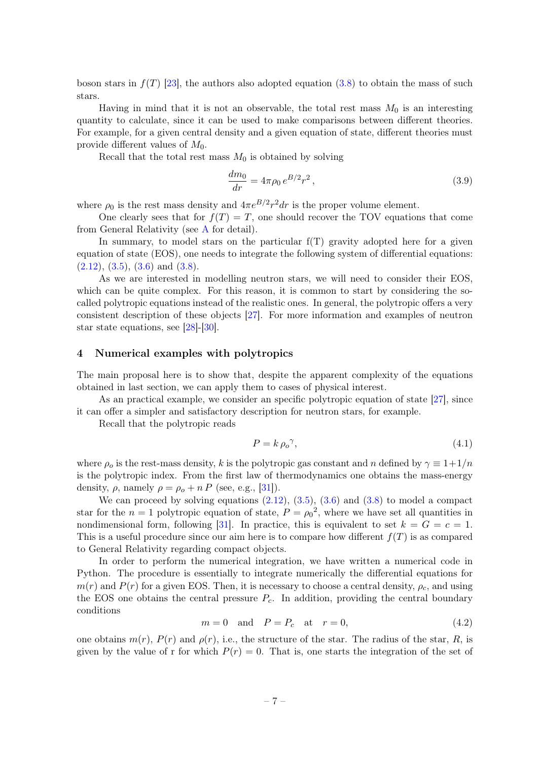boson stars in  $f(T)$  [\[23\]](#page-12-13), the authors also adopted equation [\(3.8\)](#page-6-0) to obtain the mass of such stars.

Having in mind that it is not an observable, the total rest mass  $M_0$  is an interesting quantity to calculate, since it can be used to make comparisons between different theories. For example, for a given central density and a given equation of state, different theories must provide different values of  $M_0$ .

Recall that the total rest mass  $M_0$  is obtained by solving

$$
\frac{dm_0}{dr} = 4\pi\rho_0 \, e^{B/2} r^2 \,,\tag{3.9}
$$

where  $\rho_0$  is the rest mass density and  $4\pi e^{B/2}r^2 dr$  is the proper volume element.

One clearly sees that for  $f(T) = T$ , one should recover the TOV equations that come from General Relativity (see [A](#page-10-0) for detail).

In summary, to model stars on the particular  $f(T)$  gravity adopted here for a given equation of state (EOS), one needs to integrate the following system of differential equations:  $(2.12), (3.5), (3.6)$  $(2.12), (3.5), (3.6)$  $(2.12), (3.5), (3.6)$  $(2.12), (3.5), (3.6)$  $(2.12), (3.5), (3.6)$  and  $(3.8).$  $(3.8).$ 

As we are interested in modelling neutron stars, we will need to consider their EOS, which can be quite complex. For this reason, it is common to start by considering the socalled polytropic equations instead of the realistic ones. In general, the polytropic offers a very consistent description of these objects [\[27\]](#page-12-14). For more information and examples of neutron star state equations, see [\[28\]](#page-12-15)-[\[30\]](#page-13-0).

#### <span id="page-7-0"></span>4 Numerical examples with polytropics

The main proposal here is to show that, despite the apparent complexity of the equations obtained in last section, we can apply them to cases of physical interest.

As an practical example, we consider an specific polytropic equation of state [\[27\]](#page-12-14), since it can offer a simpler and satisfactory description for neutron stars, for example.

Recall that the polytropic reads

$$
P = k \,\rho_o^{\,\gamma},\tag{4.1}
$$

where  $\rho_o$  is the rest-mass density, k is the polytropic gas constant and n defined by  $\gamma \equiv 1+1/n$ is the polytropic index. From the first law of thermodynamics one obtains the mass-energy density,  $\rho$ , namely  $\rho = \rho_o + n P$  (see, e.g., [\[31\]](#page-13-1)).

We can proceed by solving equations  $(2.12)$ ,  $(3.5)$ ,  $(3.6)$  and  $(3.8)$  to model a compact star for the  $n = 1$  polytropic equation of state,  $P = \rho_0^2$ , where we have set all quantities in nondimensional form, following [\[31\]](#page-13-1). In practice, this is equivalent to set  $k = G = c = 1$ . This is a useful procedure since our aim here is to compare how different  $f(T)$  is as compared to General Relativity regarding compact objects.

In order to perform the numerical integration, we have written a numerical code in Python. The procedure is essentially to integrate numerically the differential equations for  $m(r)$  and  $P(r)$  for a given EOS. Then, it is necessary to choose a central density,  $\rho_c$ , and using the EOS one obtains the central pressure  $P_c$ . In addition, providing the central boundary conditions

$$
m = 0 \quad \text{and} \quad P = P_c \quad \text{at} \quad r = 0,\tag{4.2}
$$

one obtains  $m(r)$ ,  $P(r)$  and  $\rho(r)$ , i.e., the structure of the star. The radius of the star, R, is given by the value of r for which  $P(r) = 0$ . That is, one starts the integration of the set of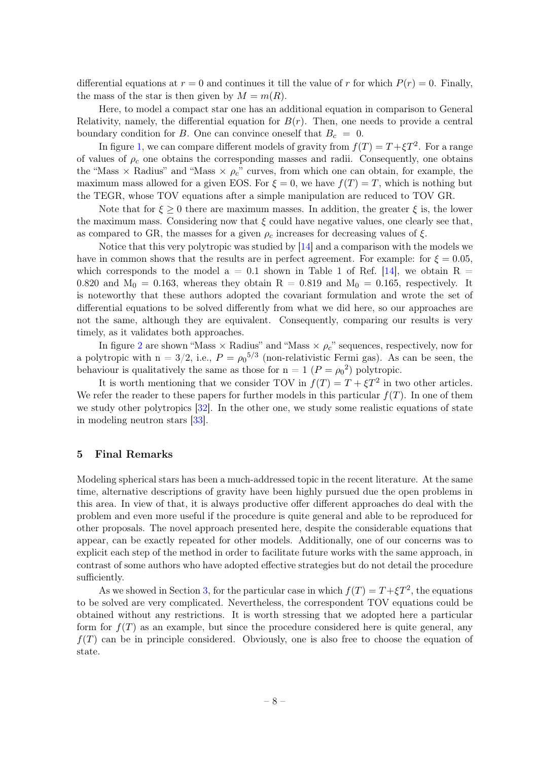differential equations at  $r = 0$  and continues it till the value of r for which  $P(r) = 0$ . Finally, the mass of the star is then given by  $M = m(R)$ .

Here, to model a compact star one has an additional equation in comparison to General Relativity, namely, the differential equation for  $B(r)$ . Then, one needs to provide a central boundary condition for B. One can convince oneself that  $B_c = 0$ .

In figure [1,](#page-9-0) we can compare different models of gravity from  $f(T) = T + \xi T^2$ . For a range of values of  $\rho_c$  one obtains the corresponding masses and radii. Consequently, one obtains the "Mass  $\times$  Radius" and "Mass  $\times \rho_c$ " curves, from which one can obtain, for example, the maximum mass allowed for a given EOS. For  $\xi = 0$ , we have  $f(T) = T$ , which is nothing but the TEGR, whose TOV equations after a simple manipulation are reduced to TOV GR.

Note that for  $\xi \geq 0$  there are maximum masses. In addition, the greater  $\xi$  is, the lower the maximum mass. Considering now that  $\xi$  could have negative values, one clearly see that, as compared to GR, the masses for a given  $\rho_c$  increases for decreasing values of  $\xi$ .

Notice that this very polytropic was studied by [\[14\]](#page-12-5) and a comparison with the models we have in common shows that the results are in perfect agreement. For example: for  $\xi = 0.05$ , which corresponds to the model  $a = 0.1$  shown in Table 1 of Ref. [\[14\]](#page-12-5), we obtain R = 0.820 and  $M_0 = 0.163$ , whereas they obtain  $R = 0.819$  and  $M_0 = 0.165$ , respectively. It is noteworthy that these authors adopted the covariant formulation and wrote the set of differential equations to be solved differently from what we did here, so our approaches are not the same, although they are equivalent. Consequently, comparing our results is very timely, as it validates both approaches.

In figure [2](#page-9-1) are shown "Mass  $\times$  Radius" and "Mass  $\times \rho_c$ " sequences, respectively, now for a polytropic with  $n = 3/2$ , i.e.,  $P = \rho_0^{5/3}$  (non-relativistic Fermi gas). As can be seen, the behaviour is qualitatively the same as those for  $n = 1$   $(P = \rho_0^2)$  polytropic.

It is worth mentioning that we consider TOV in  $f(T) = T + \xi T^2$  in two other articles. We refer the reader to these papers for further models in this particular  $f(T)$ . In one of them we study other polytropics [\[32\]](#page-13-2). In the other one, we study some realistic equations of state in modeling neutron stars [\[33\]](#page-13-3).

#### <span id="page-8-0"></span>5 Final Remarks

Modeling spherical stars has been a much-addressed topic in the recent literature. At the same time, alternative descriptions of gravity have been highly pursued due the open problems in this area. In view of that, it is always productive offer different approaches do deal with the problem and even more useful if the procedure is quite general and able to be reproduced for other proposals. The novel approach presented here, despite the considerable equations that appear, can be exactly repeated for other models. Additionally, one of our concerns was to explicit each step of the method in order to facilitate future works with the same approach, in contrast of some authors who have adopted effective strategies but do not detail the procedure sufficiently.

As we showed in Section [3,](#page-4-0) for the particular case in which  $f(T) = T + \xi T^2$ , the equations to be solved are very complicated. Nevertheless, the correspondent TOV equations could be obtained without any restrictions. It is worth stressing that we adopted here a particular form for  $f(T)$  as an example, but since the procedure considered here is quite general, any  $f(T)$  can be in principle considered. Obviously, one is also free to choose the equation of state.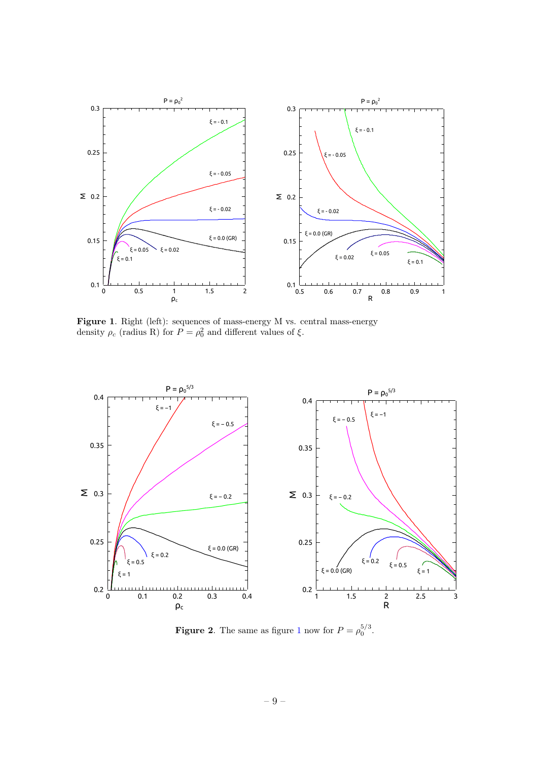

<span id="page-9-0"></span>Figure 1. Right (left): sequences of mass-energy M vs. central mass-energy density  $\rho_c$  (radius R) for  $P = \rho_0^2$  and different values of  $\xi$ .



<span id="page-9-1"></span>**Figure 2.** The same as figure [1](#page-9-0) now for  $P = \rho_0^{5/3}$ .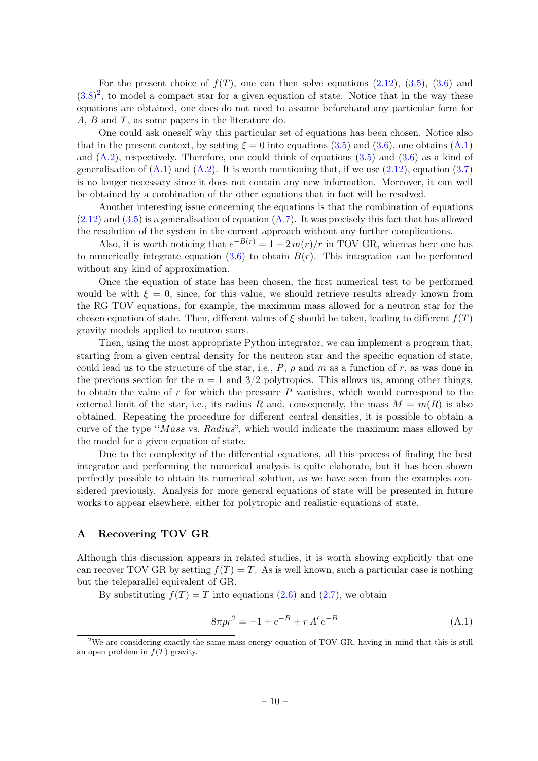For the present choice of  $f(T)$ , one can then solve equations  $(2.12)$ ,  $(3.5)$ ,  $(3.6)$  and  $(3.8)^2$  $(3.8)^2$  $(3.8)^2$ , to model a compact star for a given equation of state. Notice that in the way these equations are obtained, one does do not need to assume beforehand any particular form for A, B and T, as some papers in the literature do.

One could ask oneself why this particular set of equations has been chosen. Notice also that in the present context, by setting  $\xi = 0$  into equations [\(3.5\)](#page-5-3) and [\(3.6\)](#page-6-1), one obtains [\(A.1\)](#page-10-2) and  $(A.2)$ , respectively. Therefore, one could think of equations  $(3.5)$  and  $(3.6)$  as a kind of generalisation of  $(A.1)$  and  $(A.2)$ . It is worth mentioning that, if we use  $(2.12)$ , equation  $(3.7)$ is no longer necessary since it does not contain any new information. Moreover, it can well be obtained by a combination of the other equations that in fact will be resolved.

Another interesting issue concerning the equations is that the combination of equations  $(2.12)$  and  $(3.5)$  is a generalisation of equation  $(A.7)$ . It was precisely this fact that has allowed the resolution of the system in the current approach without any further complications.

Also, it is worth noticing that  $e^{-B(r)} = 1 - 2 m(r)/r$  in TOV GR, whereas here one has to numerically integrate equation  $(3.6)$  to obtain  $B(r)$ . This integration can be performed without any kind of approximation.

Once the equation of state has been chosen, the first numerical test to be performed would be with  $\xi = 0$ , since, for this value, we should retrieve results already known from the RG TOV equations, for example, the maximum mass allowed for a neutron star for the chosen equation of state. Then, different values of  $\xi$  should be taken, leading to different  $f(T)$ gravity models applied to neutron stars.

Then, using the most appropriate Python integrator, we can implement a program that, starting from a given central density for the neutron star and the specific equation of state, could lead us to the structure of the star, i.e.,  $P$ ,  $\rho$  and  $m$  as a function of  $r$ , as was done in the previous section for the  $n = 1$  and  $3/2$  polytropics. This allows us, among other things, to obtain the value of  $r$  for which the pressure  $P$  vanishes, which would correspond to the external limit of the star, i.e., its radius R and, consequently, the mass  $M = m(R)$  is also obtained. Repeating the procedure for different central densities, it is possible to obtain a curve of the type "Mass vs. Radius", which would indicate the maximum mass allowed by the model for a given equation of state.

Due to the complexity of the differential equations, all this process of finding the best integrator and performing the numerical analysis is quite elaborate, but it has been shown perfectly possible to obtain its numerical solution, as we have seen from the examples considered previously. Analysis for more general equations of state will be presented in future works to appear elsewhere, either for polytropic and realistic equations of state.

#### <span id="page-10-0"></span>A Recovering TOV GR

Although this discussion appears in related studies, it is worth showing explicitly that one can recover TOV GR by setting  $f(T) = T$ . As is well known, such a particular case is nothing but the teleparallel equivalent of GR.

By substituting  $f(T) = T$  into equations [\(2.6\)](#page-4-1) and [\(2.7\)](#page-4-1), we obtain

<span id="page-10-2"></span>
$$
8\pi pr^2 = -1 + e^{-B} + r A' e^{-B}
$$
 (A.1)

<span id="page-10-1"></span><sup>&</sup>lt;sup>2</sup>We are considering exactly the same mass-energy equation of TOV GR, having in mind that this is still an open problem in  $f(T)$  gravity.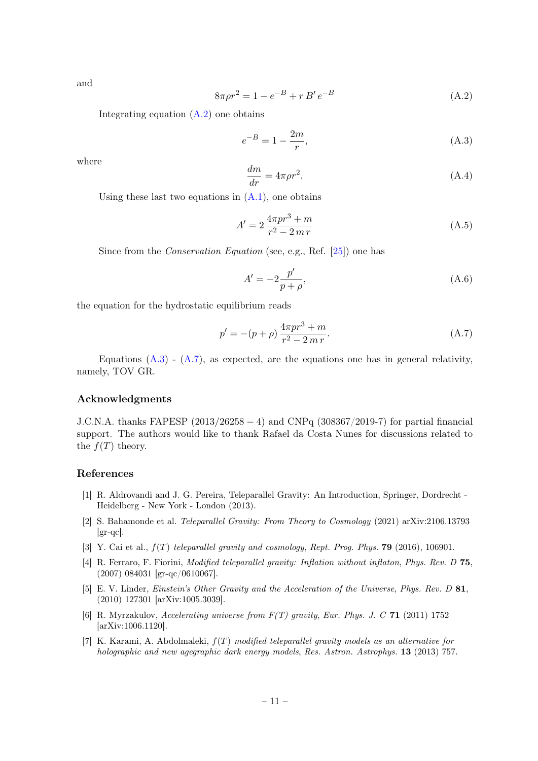and

<span id="page-11-4"></span>
$$
8\pi\rho r^2 = 1 - e^{-B} + r B' e^{-B}
$$
 (A.2)

Integrating equation  $(A.2)$  one obtains

<span id="page-11-6"></span>
$$
e^{-B} = 1 - \frac{2m}{r},\tag{A.3}
$$

where

$$
\frac{dm}{dr} = 4\pi\rho r^2. \tag{A.4}
$$

Using these last two equations in  $(A.1)$ , one obtains

$$
A' = 2\frac{4\pi pr^3 + m}{r^2 - 2\,m\,r}
$$
\n(A.5)

Since from the Conservation Equation (see, e.g., Ref. [\[25\]](#page-12-10)) one has

$$
A' = -2\frac{p'}{p+\rho},\tag{A.6}
$$

the equation for the hydrostatic equilibrium reads

<span id="page-11-5"></span>
$$
p' = -(p+\rho)\frac{4\pi pr^3 + m}{r^2 - 2\,m\,r}.\tag{A.7}
$$

Equations  $(A.3)$  -  $(A.7)$ , as expected, are the equations one has in general relativity, namely, TOV GR.

#### Acknowledgments

J.C.N.A. thanks FAPESP (2013/26258 − 4) and CNPq (308367/2019-7) for partial financial support. The authors would like to thank Rafael da Costa Nunes for discussions related to the  $f(T)$  theory.

#### References

- <span id="page-11-0"></span>[1] R. Aldrovandi and J. G. Pereira, Teleparallel Gravity: An Introduction, Springer, Dordrecht - Heidelberg - New York - London (2013).
- [2] S. Bahamonde et al. Teleparallel Gravity: From Theory to Cosmology (2021) arXiv:2106.13793  $\left[\text{gr-qc}\right]$ .
- <span id="page-11-1"></span>[3] Y. Cai et al.,  $f(T)$  teleparallel gravity and cosmology, Rept. Prog. Phys. **79** (2016), 106901.
- <span id="page-11-2"></span>[4] R. Ferraro, F. Fiorini, Modified teleparallel gravity: Inflation without inflaton, Phys. Rev. D 75, (2007) 084031 [gr-qc/0610067].
- [5] E. V. Linder, Einstein's Other Gravity and the Acceleration of the Universe, Phys. Rev. D 81, (2010) 127301 [arXiv:1005.3039].
- [6] R. Myrzakulov, Accelerating universe from F(T) gravity, Eur. Phys. J. C 71 (2011) 1752 [arXiv:1006.1120].
- <span id="page-11-3"></span>[7] K. Karami, A. Abdolmaleki,  $f(T)$  modified teleparallel gravity models as an alternative for holographic and new agegraphic dark energy models, Res. Astron. Astrophys. **13** (2013) 757.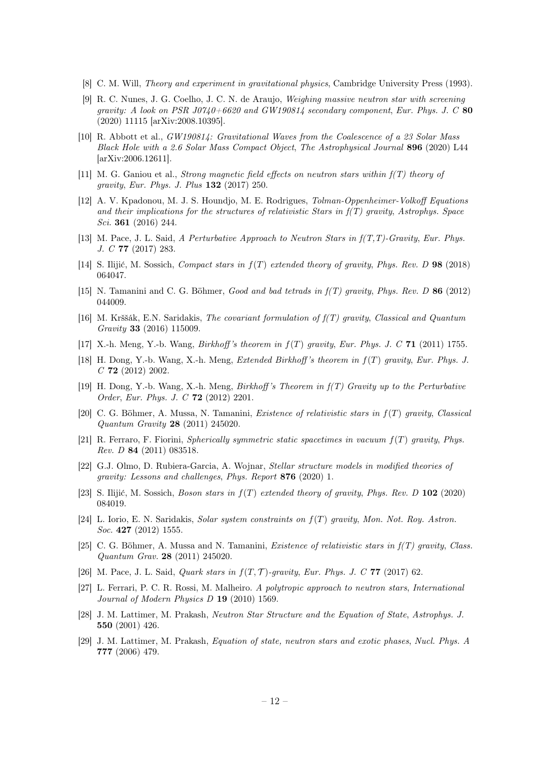- <span id="page-12-0"></span>[8] C. M. Will, Theory and experiment in gravitational physics, Cambridge University Press (1993).
- <span id="page-12-1"></span>[9] R. C. Nunes, J. G. Coelho, J. C. N. de Araujo, Weighing massive neutron star with screening gravity: A look on PSR  $J0740+6620$  and GW190814 secondary component, Eur. Phys. J. C 80 (2020) 11115 [arXiv:2008.10395].
- <span id="page-12-2"></span>[10] R. Abbott et al., GW190814: Gravitational Waves from the Coalescence of a 23 Solar Mass Black Hole with a 2.6 Solar Mass Compact Object, The Astrophysical Journal 896 (2020) L44 [arXiv:2006.12611].
- <span id="page-12-3"></span>[11] M. G. Ganiou et al., Strong magnetic field effects on neutron stars within f(T) theory of gravity, Eur. Phys. J. Plus 132 (2017) 250.
- [12] A. V. Kpadonou, M. J. S. Houndjo, M. E. Rodrigues, Tolman-Oppenheimer-Volkoff Equations and their implications for the structures of relativistic Stars in  $f(T)$  gravity, Astrophys. Space Sci. 361 (2016) 244.
- <span id="page-12-4"></span>[13] M. Pace, J. L. Said, A Perturbative Approach to Neutron Stars in  $f(T,T)$ -Gravity, Eur. Phys. J. C 77 (2017) 283.
- <span id="page-12-5"></span>[14] S. Ilijić, M. Sossich, Compact stars in  $f(T)$  extended theory of gravity, Phys. Rev. D 98 (2018) 064047.
- <span id="page-12-6"></span>[15] N. Tamanini and C. G. Böhmer, Good and bad tetrads in f(T) gravity, Phys. Rev. D 86 (2012) 044009.
- <span id="page-12-7"></span>[16] M. Krššák, E.N. Saridakis, The covariant formulation of f(T) gravity, Classical and Quantum Gravity 33 (2016) 115009.
- <span id="page-12-8"></span>[17] X.-h. Meng, Y.-b. Wang, *Birkhoff's theorem in*  $f(T)$  *gravity, Eur. Phys. J. C* 71 (2011) 1755.
- [18] H. Dong, Y.-b. Wang, X.-h. Meng, Extended Birkhoff 's theorem in f(T) gravity, Eur. Phys. J.  $C$  72 (2012) 2002.
- [19] H. Dong, Y.-b. Wang, X.-h. Meng, Birkhoff 's Theorem in f(T) Gravity up to the Perturbative Order, Eur. Phys. J. C 72 (2012) 2201.
- [20] C. G. Böhmer, A. Mussa, N. Tamanini, Existence of relativistic stars in f(T) gravity, Classical Quantum Gravity 28 (2011) 245020.
- [21] R. Ferraro, F. Fiorini, Spherically symmetric static spacetimes in vacuum f(T) gravity, Phys. Rev. D 84 (2011) 083518.
- <span id="page-12-12"></span>[22] G.J. Olmo, D. Rubiera-Garcia, A. Wojnar, Stellar structure models in modified theories of gravity: Lessons and challenges, Phys. Report 876 (2020) 1.
- <span id="page-12-13"></span>[23] S. Ilijić, M. Sossich, Boson stars in  $f(T)$  extended theory of gravity, Phys. Rev. D 102 (2020) 084019.
- <span id="page-12-9"></span>[24] L. Iorio, E. N. Saridakis, Solar system constraints on  $f(T)$  gravity, Mon. Not. Roy. Astron. Soc. **427** (2012) 1555.
- <span id="page-12-10"></span>[25] C. G. Böhmer, A. Mussa and N. Tamanini, Existence of relativistic stars in  $f(T)$  gravity, Class. Quantum Grav. 28 (2011) 245020.
- <span id="page-12-11"></span>[26] M. Pace, J. L. Said, *Quark stars in*  $f(T, \mathcal{T})$ -gravity, Eur. Phys. J. C **77** (2017) 62.
- <span id="page-12-14"></span>[27] L. Ferrari, P. C. R. Rossi, M. Malheiro. A polytropic approach to neutron stars, International Journal of Modern Physics D 19 (2010) 1569.
- <span id="page-12-15"></span>[28] J. M. Lattimer, M. Prakash, Neutron Star Structure and the Equation of State, Astrophys. J. 550 (2001) 426.
- [29] J. M. Lattimer, M. Prakash, Equation of state, neutron stars and exotic phases, Nucl. Phys. A 777 (2006) 479.